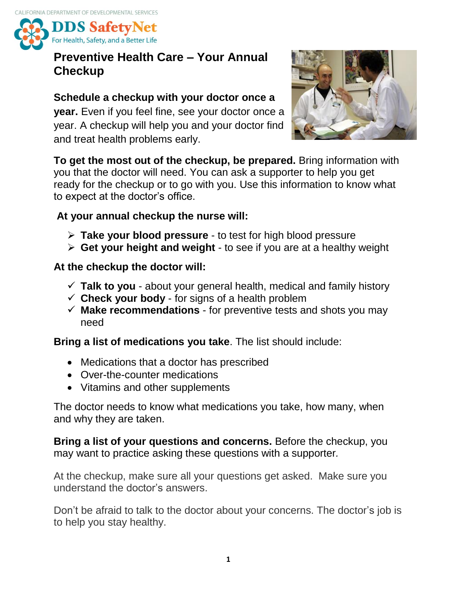

## **Preventive Health Care – Your Annual Checkup**

### **Schedule a checkup with your doctor once a**

**year.** Even if you feel fine, see your doctor once a year. A checkup will help you and your doctor find and treat health problems early.



**To get the most out of the checkup, be prepared.** Bring information with you that the doctor will need. You can ask a supporter to help you get ready for the checkup or to go with you. Use this information to know what to expect at the doctor's office.

#### **At your annual checkup the nurse will:**

- **Take your blood pressure** to test for high blood pressure
- **Get your height and weight** to see if you are at a healthy weight

#### **At the checkup the doctor will:**

- $\checkmark$  Talk to you about your general health, medical and family history
- $\checkmark$  **Check your body** for signs of a health problem
- $\checkmark$  **Make recommendations** for preventive tests and shots you may need

**Bring a list of medications you take**. The list should include:

- Medications that a doctor has prescribed
- Over-the-counter medications
- Vitamins and other supplements

The doctor needs to know what medications you take, how many, when and why they are taken.

**Bring a list of your questions and concerns.** Before the checkup, you may want to practice asking these questions with a supporter*.* 

At the checkup, make sure all your questions get asked. Make sure you understand the doctor's answers.

Don't be afraid to talk to the doctor about your concerns. The doctor's job is to help you stay healthy.